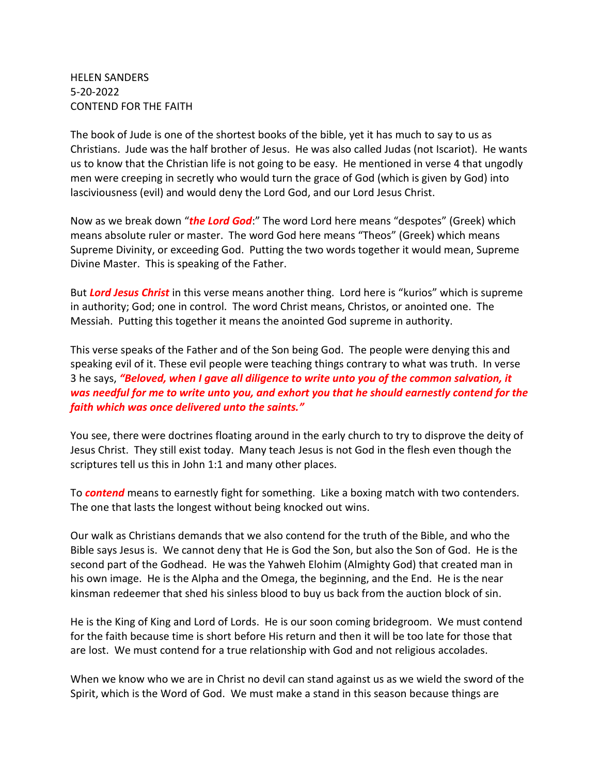HELEN SANDERS 5-20-2022 CONTEND FOR THE FAITH

The book of Jude is one of the shortest books of the bible, yet it has much to say to us as Christians. Jude was the half brother of Jesus. He was also called Judas (not Iscariot). He wants us to know that the Christian life is not going to be easy. He mentioned in verse 4 that ungodly men were creeping in secretly who would turn the grace of God (which is given by God) into lasciviousness (evil) and would deny the Lord God, and our Lord Jesus Christ.

Now as we break down "*the Lord God*:" The word Lord here means "despotes" (Greek) which means absolute ruler or master. The word God here means "Theos" (Greek) which means Supreme Divinity, or exceeding God. Putting the two words together it would mean, Supreme Divine Master. This is speaking of the Father.

But *Lord Jesus Christ* in this verse means another thing. Lord here is "kurios" which is supreme in authority; God; one in control. The word Christ means, Christos, or anointed one. The Messiah. Putting this together it means the anointed God supreme in authority.

This verse speaks of the Father and of the Son being God. The people were denying this and speaking evil of it. These evil people were teaching things contrary to what was truth. In verse 3 he says, *"Beloved, when I gave all diligence to write unto you of the common salvation, it was needful for me to write unto you, and exhort you that he should earnestly contend for the faith which was once delivered unto the saints."*

You see, there were doctrines floating around in the early church to try to disprove the deity of Jesus Christ. They still exist today. Many teach Jesus is not God in the flesh even though the scriptures tell us this in John 1:1 and many other places.

To *contend* means to earnestly fight for something. Like a boxing match with two contenders. The one that lasts the longest without being knocked out wins.

Our walk as Christians demands that we also contend for the truth of the Bible, and who the Bible says Jesus is. We cannot deny that He is God the Son, but also the Son of God. He is the second part of the Godhead. He was the Yahweh Elohim (Almighty God) that created man in his own image. He is the Alpha and the Omega, the beginning, and the End. He is the near kinsman redeemer that shed his sinless blood to buy us back from the auction block of sin.

He is the King of King and Lord of Lords. He is our soon coming bridegroom. We must contend for the faith because time is short before His return and then it will be too late for those that are lost. We must contend for a true relationship with God and not religious accolades.

When we know who we are in Christ no devil can stand against us as we wield the sword of the Spirit, which is the Word of God. We must make a stand in this season because things are